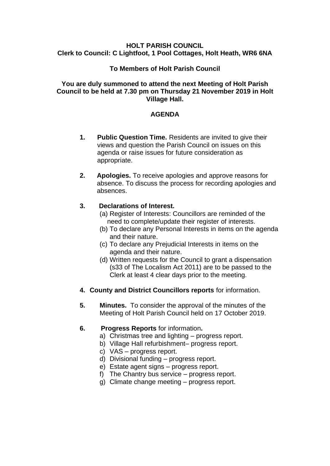## **HOLT PARISH COUNCIL Clerk to Council: C Lightfoot, 1 Pool Cottages, Holt Heath, WR6 6NA**

## **To Members of Holt Parish Council**

## **You are duly summoned to attend the next Meeting of Holt Parish Council to be held at 7.30 pm on Thursday 21 November 2019 in Holt Village Hall.**

## **AGENDA**

- **1. Public Question Time.** Residents are invited to give their views and question the Parish Council on issues on this agenda or raise issues for future consideration as appropriate.
- **2. Apologies.** To receive apologies and approve reasons for absence. To discuss the process for recording apologies and absences.

## **3. Declarations of Interest.**

- (a) Register of Interests: Councillors are reminded of the need to complete/update their register of interests.
- (b) To declare any Personal Interests in items on the agenda and their nature.
- (c) To declare any Prejudicial Interests in items on the agenda and their nature.
- (d) Written requests for the Council to grant a dispensation (s33 of The Localism Act 2011) are to be passed to the Clerk at least 4 clear days prior to the meeting.
- **4. County and District Councillors reports** for information.
- **5. Minutes.** To consider the approval of the minutes of the Meeting of Holt Parish Council held on 17 October 2019.

# **6. Progress Reports** for information**.**

- a) Christmas tree and lighting progress report.
- b) Village Hall refurbishment– progress report.
- c) VAS progress report.
- d) Divisional funding progress report.
- e) Estate agent signs progress report.
- f) The Chantry bus service progress report.
- g) Climate change meeting progress report.